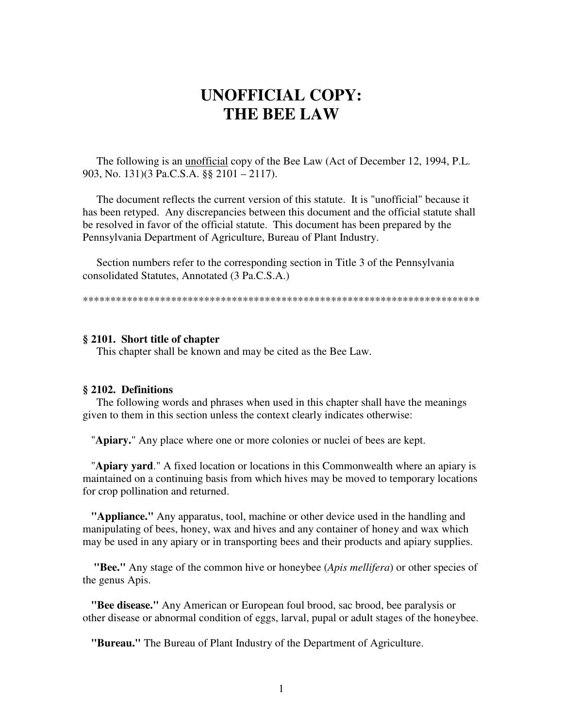# **UNOFFICIAL COPY: THE BEE LAW**

 The following is an unofficial copy of the Bee Law (Act of December 12, 1994, P.L. 903, No. 131)(3 Pa.C.S.A. §§ 2101 – 2117).

 The document reflects the current version of this statute. It is "unofficial" because it has been retyped. Any discrepancies between this document and the official statute shall be resolved in favor of the official statute. This document has been prepared by the Pennsylvania Department of Agriculture, Bureau of Plant Industry.

 Section numbers refer to the corresponding section in Title 3 of the Pennsylvania consolidated Statutes, Annotated (3 Pa.C.S.A.)

\*\*\*\*\*\*\*\*\*\*\*\*\*\*\*\*\*\*\*\*\*\*\*\*\*\*\*\*\*\*\*\*\*\*\*\*\*\*\*\*\*\*\*\*\*\*\*\*\*\*\*\*\*\*\*\*\*\*\*\*\*\*\*\*\*\*\*\*\*\*\*\*

## **§ 2101. Short title of chapter**

This chapter shall be known and may be cited as the Bee Law.

#### **§ 2102. Definitions**

 The following words and phrases when used in this chapter shall have the meanings given to them in this section unless the context clearly indicates otherwise:

"**Apiary.**" Any place where one or more colonies or nuclei of bees are kept.

 "**Apiary yard**." A fixed location or locations in this Commonwealth where an apiary is maintained on a continuing basis from which hives may be moved to temporary locations for crop pollination and returned.

 **"Appliance."** Any apparatus, tool, machine or other device used in the handling and manipulating of bees, honey, wax and hives and any container of honey and wax which may be used in any apiary or in transporting bees and their products and apiary supplies.

 **"Bee."** Any stage of the common hive or honeybee (*Apis mellifera*) or other species of the genus Apis.

 **"Bee disease."** Any American or European foul brood, sac brood, bee paralysis or other disease or abnormal condition of eggs, larval, pupal or adult stages of the honeybee.

**"Bureau."** The Bureau of Plant Industry of the Department of Agriculture.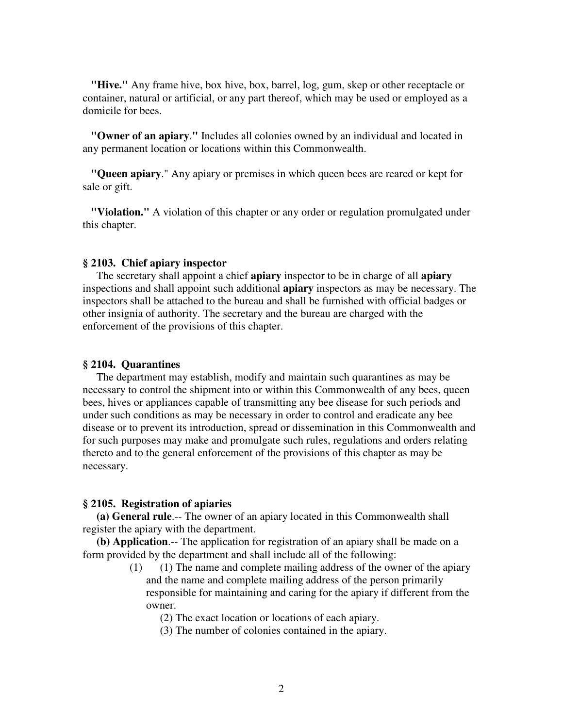**"Hive."** Any frame hive, box hive, box, barrel, log, gum, skep or other receptacle or container, natural or artificial, or any part thereof, which may be used or employed as a domicile for bees.

 **"Owner of an apiary**.**"** Includes all colonies owned by an individual and located in any permanent location or locations within this Commonwealth.

 **"Queen apiary**." Any apiary or premises in which queen bees are reared or kept for sale or gift.

 **"Violation."** A violation of this chapter or any order or regulation promulgated under this chapter.

# **§ 2103. Chief apiary inspector**

 The secretary shall appoint a chief **apiary** inspector to be in charge of all **apiary** inspections and shall appoint such additional **apiary** inspectors as may be necessary. The inspectors shall be attached to the bureau and shall be furnished with official badges or other insignia of authority. The secretary and the bureau are charged with the enforcement of the provisions of this chapter.

## **§ 2104. Quarantines**

 The department may establish, modify and maintain such quarantines as may be necessary to control the shipment into or within this Commonwealth of any bees, queen bees, hives or appliances capable of transmitting any bee disease for such periods and under such conditions as may be necessary in order to control and eradicate any bee disease or to prevent its introduction, spread or dissemination in this Commonwealth and for such purposes may make and promulgate such rules, regulations and orders relating thereto and to the general enforcement of the provisions of this chapter as may be necessary.

#### **§ 2105. Registration of apiaries**

 **(a) General rule**.-- The owner of an apiary located in this Commonwealth shall register the apiary with the department.

 **(b) Application**.-- The application for registration of an apiary shall be made on a form provided by the department and shall include all of the following:

> (1) (1) The name and complete mailing address of the owner of the apiary and the name and complete mailing address of the person primarily responsible for maintaining and caring for the apiary if different from the owner.

(2) The exact location or locations of each apiary.

(3) The number of colonies contained in the apiary.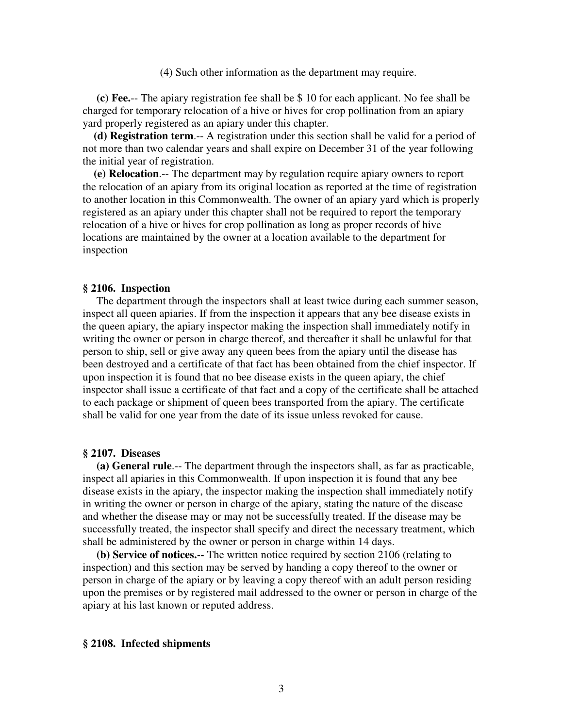(4) Such other information as the department may require.

 **(c) Fee.**-- The apiary registration fee shall be \$ 10 for each applicant. No fee shall be charged for temporary relocation of a hive or hives for crop pollination from an apiary yard properly registered as an apiary under this chapter.

 **(d) Registration term**.-- A registration under this section shall be valid for a period of not more than two calendar years and shall expire on December 31 of the year following the initial year of registration.

 **(e) Relocation**.-- The department may by regulation require apiary owners to report the relocation of an apiary from its original location as reported at the time of registration to another location in this Commonwealth. The owner of an apiary yard which is properly registered as an apiary under this chapter shall not be required to report the temporary relocation of a hive or hives for crop pollination as long as proper records of hive locations are maintained by the owner at a location available to the department for inspection

#### **§ 2106. Inspection**

 The department through the inspectors shall at least twice during each summer season, inspect all queen apiaries. If from the inspection it appears that any bee disease exists in the queen apiary, the apiary inspector making the inspection shall immediately notify in writing the owner or person in charge thereof, and thereafter it shall be unlawful for that person to ship, sell or give away any queen bees from the apiary until the disease has been destroyed and a certificate of that fact has been obtained from the chief inspector. If upon inspection it is found that no bee disease exists in the queen apiary, the chief inspector shall issue a certificate of that fact and a copy of the certificate shall be attached to each package or shipment of queen bees transported from the apiary. The certificate shall be valid for one year from the date of its issue unless revoked for cause.

#### **§ 2107. Diseases**

 **(a) General rule**.-- The department through the inspectors shall, as far as practicable, inspect all apiaries in this Commonwealth. If upon inspection it is found that any bee disease exists in the apiary, the inspector making the inspection shall immediately notify in writing the owner or person in charge of the apiary, stating the nature of the disease and whether the disease may or may not be successfully treated. If the disease may be successfully treated, the inspector shall specify and direct the necessary treatment, which shall be administered by the owner or person in charge within 14 days.

 **(b) Service of notices.--** The written notice required by section 2106 (relating to inspection) and this section may be served by handing a copy thereof to the owner or person in charge of the apiary or by leaving a copy thereof with an adult person residing upon the premises or by registered mail addressed to the owner or person in charge of the apiary at his last known or reputed address.

#### **§ 2108. Infected shipments**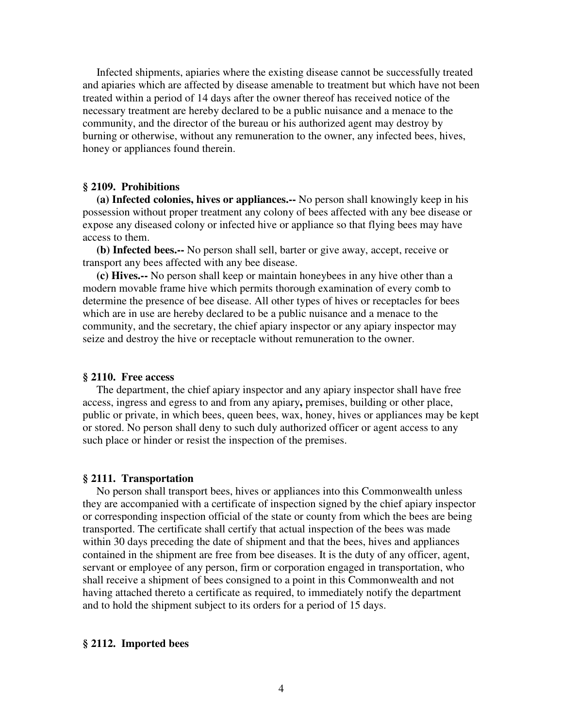Infected shipments, apiaries where the existing disease cannot be successfully treated and apiaries which are affected by disease amenable to treatment but which have not been treated within a period of 14 days after the owner thereof has received notice of the necessary treatment are hereby declared to be a public nuisance and a menace to the community, and the director of the bureau or his authorized agent may destroy by burning or otherwise, without any remuneration to the owner, any infected bees, hives, honey or appliances found therein.

## **§ 2109. Prohibitions**

 **(a) Infected colonies, hives or appliances.--** No person shall knowingly keep in his possession without proper treatment any colony of bees affected with any bee disease or expose any diseased colony or infected hive or appliance so that flying bees may have access to them.

 **(b) Infected bees.--** No person shall sell, barter or give away, accept, receive or transport any bees affected with any bee disease.

 **(c) Hives.--** No person shall keep or maintain honeybees in any hive other than a modern movable frame hive which permits thorough examination of every comb to determine the presence of bee disease. All other types of hives or receptacles for bees which are in use are hereby declared to be a public nuisance and a menace to the community, and the secretary, the chief apiary inspector or any apiary inspector may seize and destroy the hive or receptacle without remuneration to the owner.

#### **§ 2110. Free access**

 The department, the chief apiary inspector and any apiary inspector shall have free access, ingress and egress to and from any apiary**,** premises, building or other place, public or private, in which bees, queen bees, wax, honey, hives or appliances may be kept or stored. No person shall deny to such duly authorized officer or agent access to any such place or hinder or resist the inspection of the premises.

#### **§ 2111. Transportation**

 No person shall transport bees, hives or appliances into this Commonwealth unless they are accompanied with a certificate of inspection signed by the chief apiary inspector or corresponding inspection official of the state or county from which the bees are being transported. The certificate shall certify that actual inspection of the bees was made within 30 days preceding the date of shipment and that the bees, hives and appliances contained in the shipment are free from bee diseases. It is the duty of any officer, agent, servant or employee of any person, firm or corporation engaged in transportation, who shall receive a shipment of bees consigned to a point in this Commonwealth and not having attached thereto a certificate as required, to immediately notify the department and to hold the shipment subject to its orders for a period of 15 days.

#### **§ 2112. Imported bees**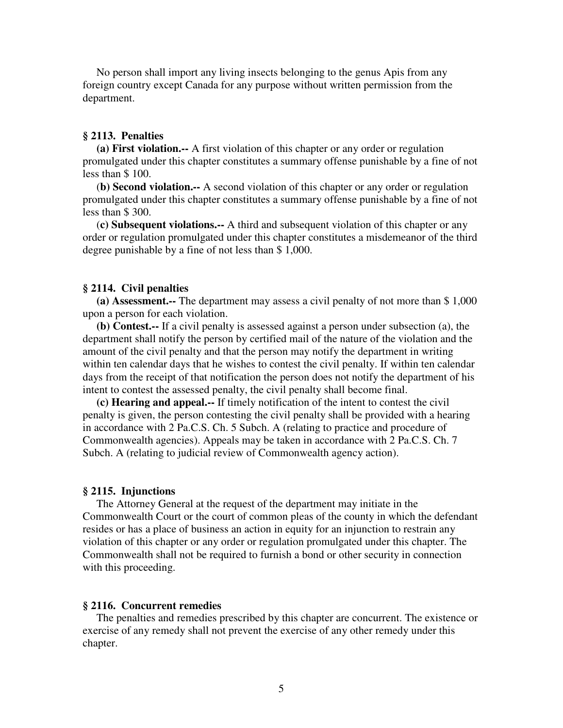No person shall import any living insects belonging to the genus Apis from any foreign country except Canada for any purpose without written permission from the department.

# **§ 2113. Penalties**

 **(a) First violation.--** A first violation of this chapter or any order or regulation promulgated under this chapter constitutes a summary offense punishable by a fine of not less than \$ 100.

 (**b) Second violation.--** A second violation of this chapter or any order or regulation promulgated under this chapter constitutes a summary offense punishable by a fine of not less than \$ 300.

 (**c) Subsequent violations.--** A third and subsequent violation of this chapter or any order or regulation promulgated under this chapter constitutes a misdemeanor of the third degree punishable by a fine of not less than \$ 1,000.

#### **§ 2114. Civil penalties**

 **(a) Assessment.--** The department may assess a civil penalty of not more than \$ 1,000 upon a person for each violation.

 **(b) Contest.--** If a civil penalty is assessed against a person under subsection (a), the department shall notify the person by certified mail of the nature of the violation and the amount of the civil penalty and that the person may notify the department in writing within ten calendar days that he wishes to contest the civil penalty. If within ten calendar days from the receipt of that notification the person does not notify the department of his intent to contest the assessed penalty, the civil penalty shall become final.

 **(c) Hearing and appeal.--** If timely notification of the intent to contest the civil penalty is given, the person contesting the civil penalty shall be provided with a hearing in accordance with 2 Pa.C.S. Ch. 5 Subch. A (relating to practice and procedure of Commonwealth agencies). Appeals may be taken in accordance with 2 Pa.C.S. Ch. 7 Subch. A (relating to judicial review of Commonwealth agency action).

#### **§ 2115. Injunctions**

 The Attorney General at the request of the department may initiate in the Commonwealth Court or the court of common pleas of the county in which the defendant resides or has a place of business an action in equity for an injunction to restrain any violation of this chapter or any order or regulation promulgated under this chapter. The Commonwealth shall not be required to furnish a bond or other security in connection with this proceeding.

#### **§ 2116. Concurrent remedies**

The penalties and remedies prescribed by this chapter are concurrent. The existence or exercise of any remedy shall not prevent the exercise of any other remedy under this chapter.